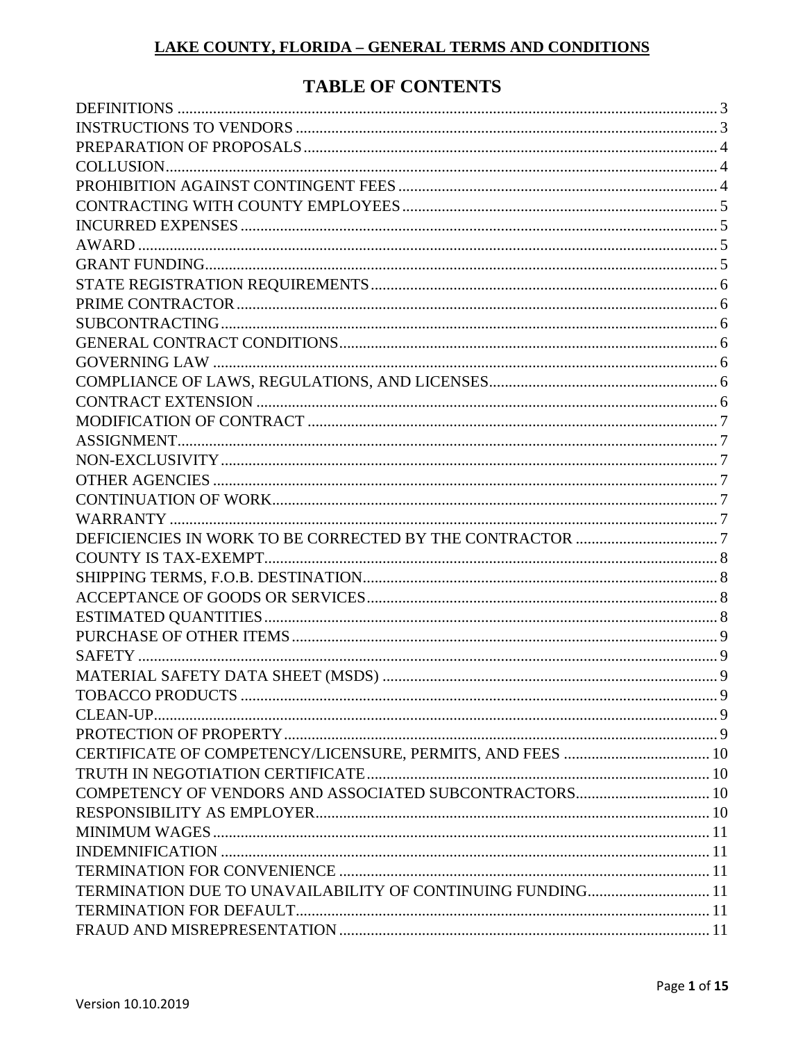# **TABLE OF CONTENTS**

| TERMINATION DUE TO UNAVAILABILITY OF CONTINUING FUNDING 11 |  |
|------------------------------------------------------------|--|
|                                                            |  |
|                                                            |  |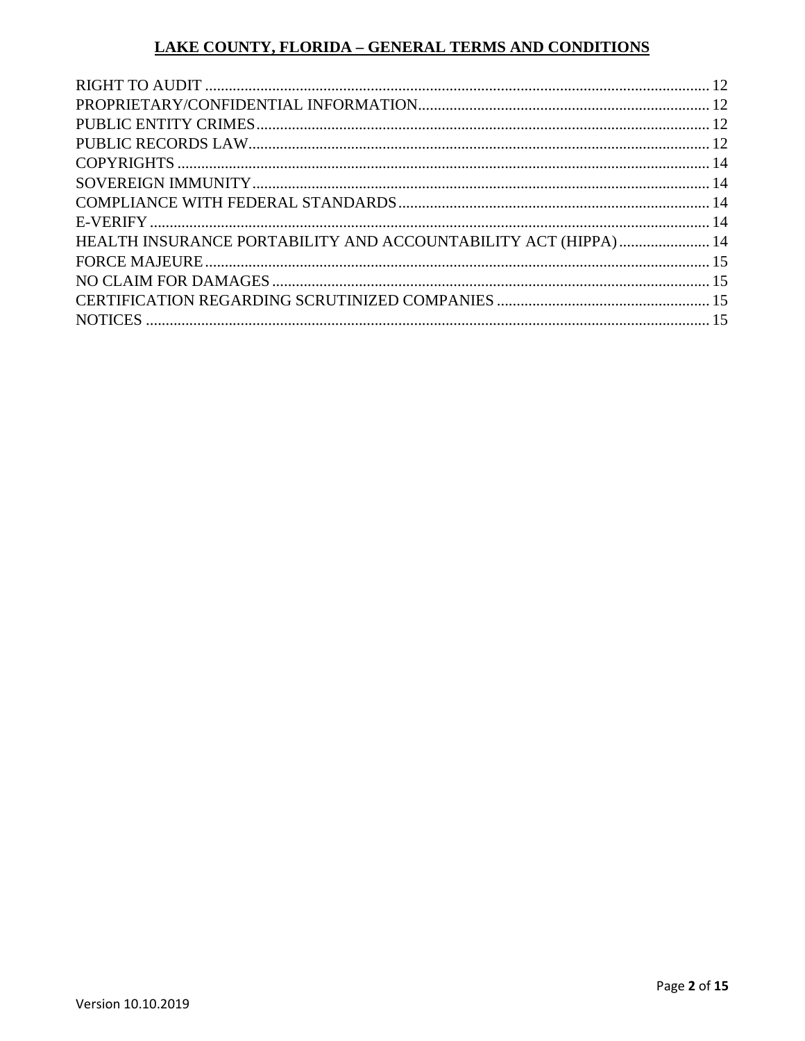| HEALTH INSURANCE PORTABILITY AND ACCOUNTABILITY ACT (HIPPA)  14 |  |
|-----------------------------------------------------------------|--|
|                                                                 |  |
|                                                                 |  |
|                                                                 |  |
|                                                                 |  |
|                                                                 |  |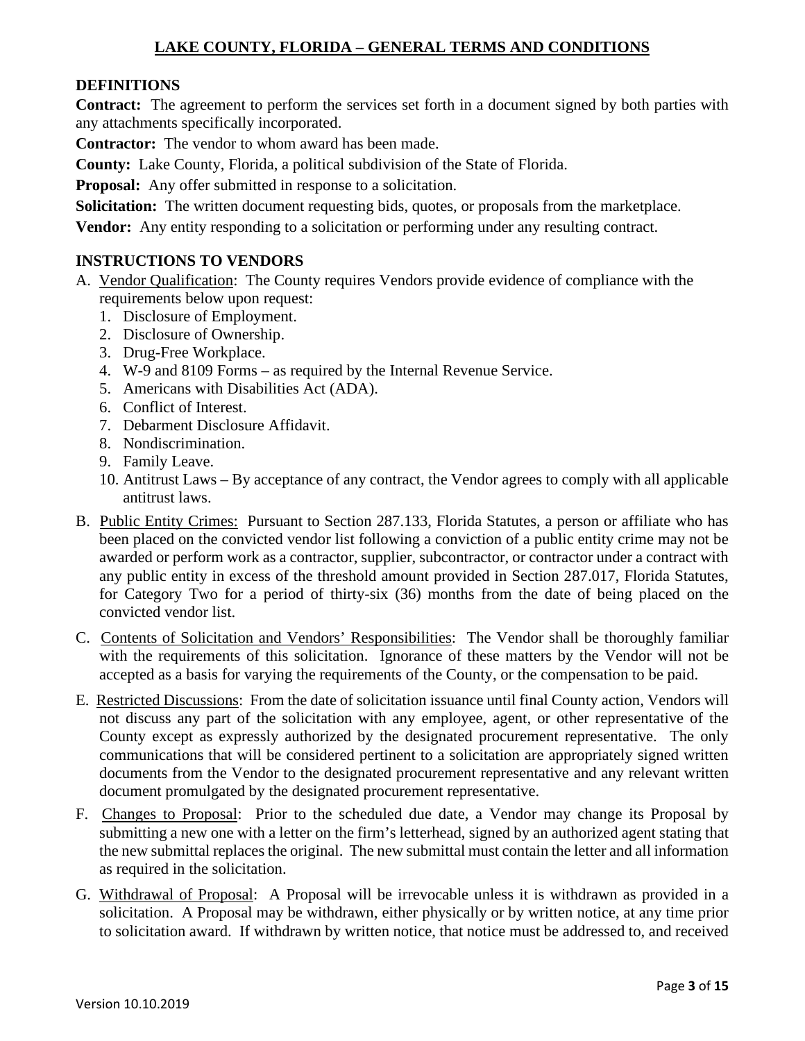#### <span id="page-2-0"></span>**DEFINITIONS**

**Contract:** The agreement to perform the services set forth in a document signed by both parties with any attachments specifically incorporated.

**Contractor:** The vendor to whom award has been made.

**County:** Lake County, Florida, a political subdivision of the State of Florida.

**Proposal:** Any offer submitted in response to a solicitation.

**Solicitation:** The written document requesting bids, quotes, or proposals from the marketplace.

**Vendor:** Any entity responding to a solicitation or performing under any resulting contract.

#### <span id="page-2-1"></span>**INSTRUCTIONS TO VENDORS**

- A. Vendor Qualification: The County requires Vendors provide evidence of compliance with the requirements below upon request:
	- 1. Disclosure of Employment.
	- 2. Disclosure of Ownership.
	- 3. Drug-Free Workplace.
	- 4. W-9 and 8109 Forms as required by the Internal Revenue Service.
	- 5. Americans with Disabilities Act (ADA).
	- 6. Conflict of Interest.
	- 7. Debarment Disclosure Affidavit.
	- 8. Nondiscrimination.
	- 9. Family Leave.
	- 10. Antitrust Laws By acceptance of any contract, the Vendor agrees to comply with all applicable antitrust laws.
- B. Public Entity Crimes: Pursuant to Section 287.133, Florida Statutes, a person or affiliate who has been placed on the convicted vendor list following a conviction of a public entity crime may not be awarded or perform work as a contractor, supplier, subcontractor, or contractor under a contract with any public entity in excess of the threshold amount provided in Section 287.017, Florida Statutes, for Category Two for a period of thirty-six (36) months from the date of being placed on the convicted vendor list.
- C. Contents of Solicitation and Vendors' Responsibilities: The Vendor shall be thoroughly familiar with the requirements of this solicitation. Ignorance of these matters by the Vendor will not be accepted as a basis for varying the requirements of the County, or the compensation to be paid.
- E. Restricted Discussions: From the date of solicitation issuance until final County action, Vendors will not discuss any part of the solicitation with any employee, agent, or other representative of the County except as expressly authorized by the designated procurement representative. The only communications that will be considered pertinent to a solicitation are appropriately signed written documents from the Vendor to the designated procurement representative and any relevant written document promulgated by the designated procurement representative.
- F.Changes to Proposal: Prior to the scheduled due date, a Vendor may change its Proposal by submitting a new one with a letter on the firm's letterhead, signed by an authorized agent stating that the new submittal replaces the original. The new submittal must contain the letter and all information as required in the solicitation.
- G. Withdrawal of Proposal: A Proposal will be irrevocable unless it is withdrawn as provided in a solicitation. A Proposal may be withdrawn, either physically or by written notice, at any time prior to solicitation award. If withdrawn by written notice, that notice must be addressed to, and received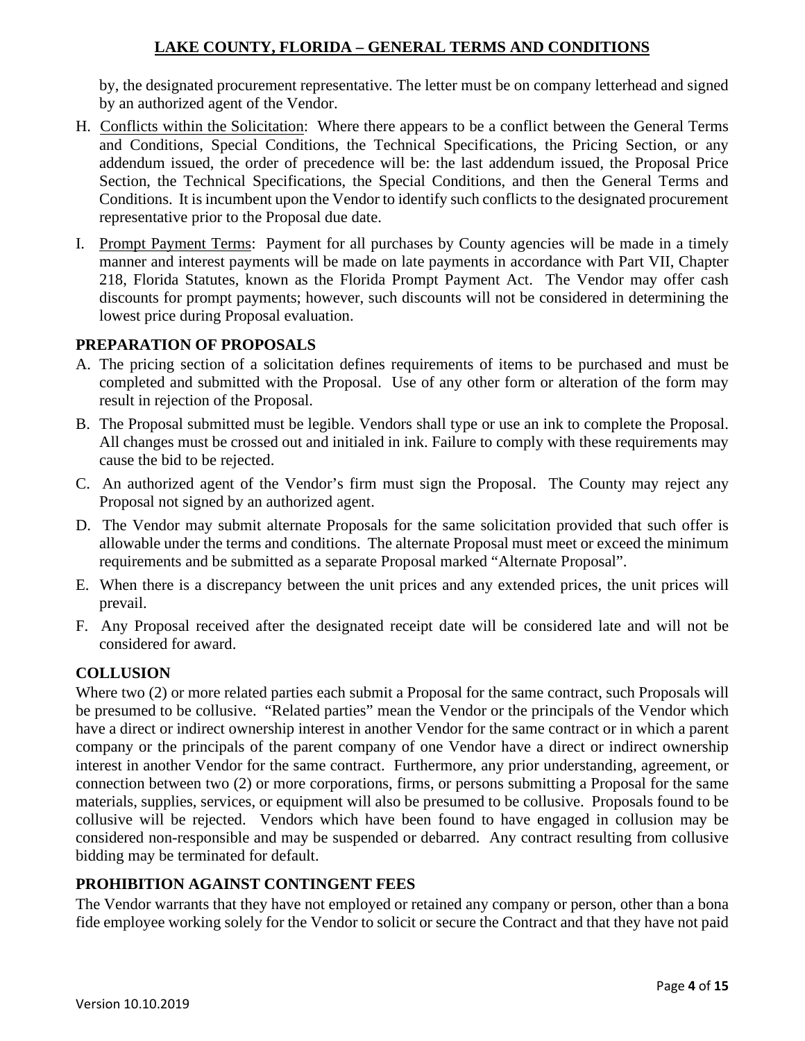by, the designated procurement representative. The letter must be on company letterhead and signed by an authorized agent of the Vendor.

- H. Conflicts within the Solicitation: Where there appears to be a conflict between the General Terms and Conditions, Special Conditions, the Technical Specifications, the Pricing Section, or any addendum issued, the order of precedence will be: the last addendum issued, the Proposal Price Section, the Technical Specifications, the Special Conditions, and then the General Terms and Conditions. It is incumbent upon the Vendor to identify such conflicts to the designated procurement representative prior to the Proposal due date.
- I. Prompt Payment Terms: Payment for all purchases by County agencies will be made in a timely manner and interest payments will be made on late payments in accordance with Part VII, Chapter 218, Florida Statutes, known as the Florida Prompt Payment Act. The Vendor may offer cash discounts for prompt payments; however, such discounts will not be considered in determining the lowest price during Proposal evaluation.

#### <span id="page-3-0"></span>**PREPARATION OF PROPOSALS**

- A. The pricing section of a solicitation defines requirements of items to be purchased and must be completed and submitted with the Proposal. Use of any other form or alteration of the form may result in rejection of the Proposal.
- B. The Proposal submitted must be legible. Vendors shall type or use an ink to complete the Proposal. All changes must be crossed out and initialed in ink. Failure to comply with these requirements may cause the bid to be rejected.
- C. An authorized agent of the Vendor's firm must sign the Proposal. The County may reject any Proposal not signed by an authorized agent.
- D. The Vendor may submit alternate Proposals for the same solicitation provided that such offer is allowable under the terms and conditions. The alternate Proposal must meet or exceed the minimum requirements and be submitted as a separate Proposal marked "Alternate Proposal".
- E. When there is a discrepancy between the unit prices and any extended prices, the unit prices will prevail.
- F. Any Proposal received after the designated receipt date will be considered late and will not be considered for award.

#### <span id="page-3-1"></span>**COLLUSION**

Where two (2) or more related parties each submit a Proposal for the same contract, such Proposals will be presumed to be collusive. "Related parties" mean the Vendor or the principals of the Vendor which have a direct or indirect ownership interest in another Vendor for the same contract or in which a parent company or the principals of the parent company of one Vendor have a direct or indirect ownership interest in another Vendor for the same contract. Furthermore, any prior understanding, agreement, or connection between two (2) or more corporations, firms, or persons submitting a Proposal for the same materials, supplies, services, or equipment will also be presumed to be collusive. Proposals found to be collusive will be rejected. Vendors which have been found to have engaged in collusion may be considered non-responsible and may be suspended or debarred. Any contract resulting from collusive bidding may be terminated for default.

#### <span id="page-3-2"></span>**PROHIBITION AGAINST CONTINGENT FEES**

The Vendor warrants that they have not employed or retained any company or person, other than a bona fide employee working solely for the Vendor to solicit or secure the Contract and that they have not paid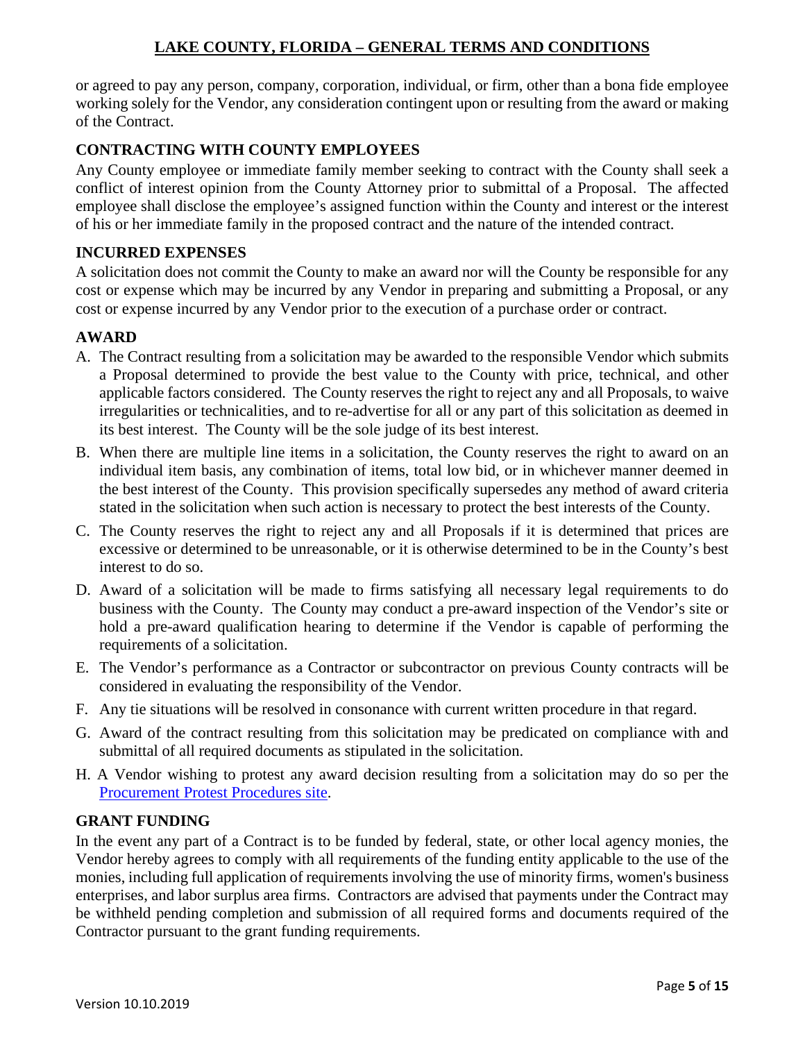or agreed to pay any person, company, corporation, individual, or firm, other than a bona fide employee working solely for the Vendor, any consideration contingent upon or resulting from the award or making of the Contract.

## <span id="page-4-0"></span>**CONTRACTING WITH COUNTY EMPLOYEES**

Any County employee or immediate family member seeking to contract with the County shall seek a conflict of interest opinion from the County Attorney prior to submittal of a Proposal. The affected employee shall disclose the employee's assigned function within the County and interest or the interest of his or her immediate family in the proposed contract and the nature of the intended contract.

#### <span id="page-4-1"></span>**INCURRED EXPENSES**

A solicitation does not commit the County to make an award nor will the County be responsible for any cost or expense which may be incurred by any Vendor in preparing and submitting a Proposal, or any cost or expense incurred by any Vendor prior to the execution of a purchase order or contract.

## <span id="page-4-2"></span>**AWARD**

- A. The Contract resulting from a solicitation may be awarded to the responsible Vendor which submits a Proposal determined to provide the best value to the County with price, technical, and other applicable factors considered. The County reserves the right to reject any and all Proposals, to waive irregularities or technicalities, and to re-advertise for all or any part of this solicitation as deemed in its best interest. The County will be the sole judge of its best interest.
- B. When there are multiple line items in a solicitation, the County reserves the right to award on an individual item basis, any combination of items, total low bid, or in whichever manner deemed in the best interest of the County. This provision specifically supersedes any method of award criteria stated in the solicitation when such action is necessary to protect the best interests of the County.
- C. The County reserves the right to reject any and all Proposals if it is determined that prices are excessive or determined to be unreasonable, or it is otherwise determined to be in the County's best interest to do so.
- D. Award of a solicitation will be made to firms satisfying all necessary legal requirements to do business with the County. The County may conduct a pre-award inspection of the Vendor's site or hold a pre-award qualification hearing to determine if the Vendor is capable of performing the requirements of a solicitation.
- E. The Vendor's performance as a Contractor or subcontractor on previous County contracts will be considered in evaluating the responsibility of the Vendor.
- F. Any tie situations will be resolved in consonance with current written procedure in that regard.
- G. Award of the contract resulting from this solicitation may be predicated on compliance with and submittal of all required documents as stipulated in the solicitation.
- H. A Vendor wishing to protest any award decision resulting from a solicitation may do so per the [Procurement Protest Procedures site.](https://www.lakecountyfl.gov/documents/procurement/Procurement_Protest_Procedures.pdf)

## <span id="page-4-3"></span>**GRANT FUNDING**

In the event any part of a Contract is to be funded by federal, state, or other local agency monies, the Vendor hereby agrees to comply with all requirements of the funding entity applicable to the use of the monies, including full application of requirements involving the use of minority firms, women's business enterprises, and labor surplus area firms. Contractors are advised that payments under the Contract may be withheld pending completion and submission of all required forms and documents required of the Contractor pursuant to the grant funding requirements.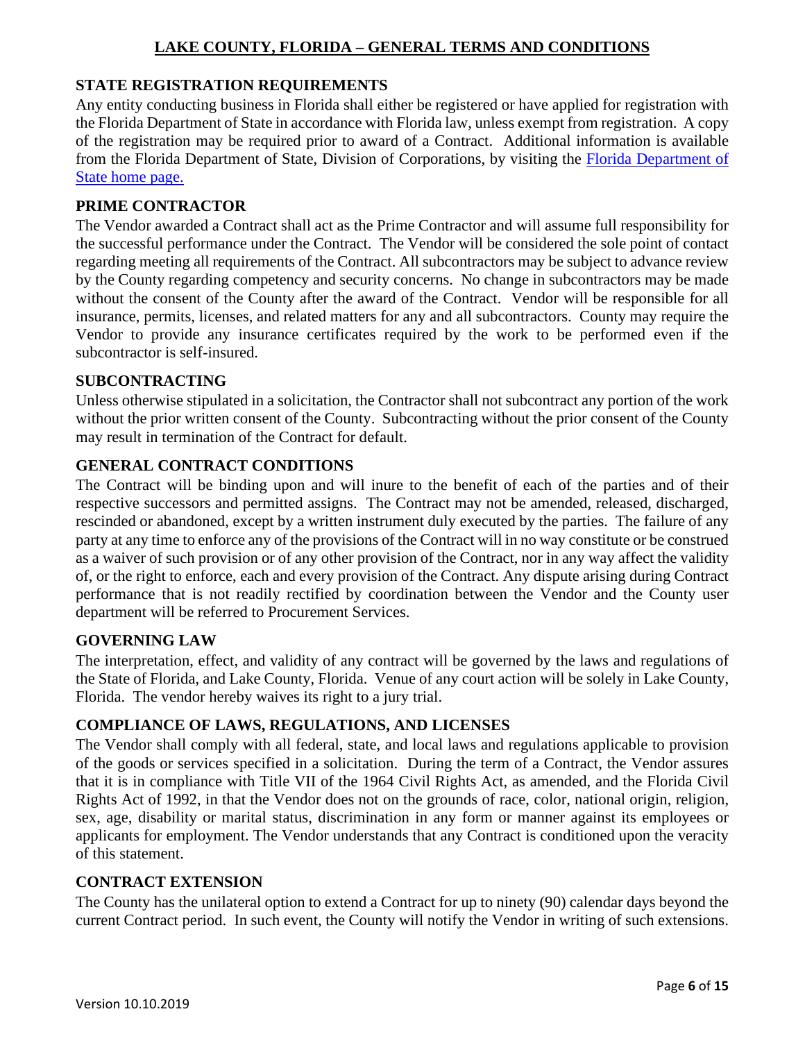## <span id="page-5-0"></span>**STATE REGISTRATION REQUIREMENTS**

Any entity conducting business in Florida shall either be registered or have applied for registration with the Florida Department of State in accordance with Florida law, unless exempt from registration. A copy of the registration may be required prior to award of a Contract. Additional information is available from the Florida Department of State, Division of Corporations, by visiting the [Florida Department of](http://www.dos.state.fl.us/)  [State home page.](http://www.dos.state.fl.us/)

#### <span id="page-5-1"></span>**PRIME CONTRACTOR**

The Vendor awarded a Contract shall act as the Prime Contractor and will assume full responsibility for the successful performance under the Contract. The Vendor will be considered the sole point of contact regarding meeting all requirements of the Contract. All subcontractors may be subject to advance review by the County regarding competency and security concerns. No change in subcontractors may be made without the consent of the County after the award of the Contract. Vendor will be responsible for all insurance, permits, licenses, and related matters for any and all subcontractors. County may require the Vendor to provide any insurance certificates required by the work to be performed even if the subcontractor is self-insured.

#### <span id="page-5-2"></span>**SUBCONTRACTING**

Unless otherwise stipulated in a solicitation, the Contractor shall not subcontract any portion of the work without the prior written consent of the County. Subcontracting without the prior consent of the County may result in termination of the Contract for default.

## <span id="page-5-3"></span>**GENERAL CONTRACT CONDITIONS**

The Contract will be binding upon and will inure to the benefit of each of the parties and of their respective successors and permitted assigns. The Contract may not be amended, released, discharged, rescinded or abandoned, except by a written instrument duly executed by the parties. The failure of any party at any time to enforce any of the provisions of the Contract will in no way constitute or be construed as a waiver of such provision or of any other provision of the Contract, nor in any way affect the validity of, or the right to enforce, each and every provision of the Contract. Any dispute arising during Contract performance that is not readily rectified by coordination between the Vendor and the County user department will be referred to Procurement Services.

#### <span id="page-5-4"></span>**GOVERNING LAW**

The interpretation, effect, and validity of any contract will be governed by the laws and regulations of the State of Florida, and Lake County, Florida. Venue of any court action will be solely in Lake County, Florida. The vendor hereby waives its right to a jury trial.

#### <span id="page-5-5"></span>**COMPLIANCE OF LAWS, REGULATIONS, AND LICENSES**

The Vendor shall comply with all federal, state, and local laws and regulations applicable to provision of the goods or services specified in a solicitation. During the term of a Contract, the Vendor assures that it is in compliance with Title VII of the 1964 Civil Rights Act, as amended, and the Florida Civil Rights Act of 1992, in that the Vendor does not on the grounds of race, color, national origin, religion, sex, age, disability or marital status, discrimination in any form or manner against its employees or applicants for employment. The Vendor understands that any Contract is conditioned upon the veracity of this statement.

#### <span id="page-5-6"></span>**CONTRACT EXTENSION**

The County has the unilateral option to extend a Contract for up to ninety (90) calendar days beyond the current Contract period. In such event, the County will notify the Vendor in writing of such extensions.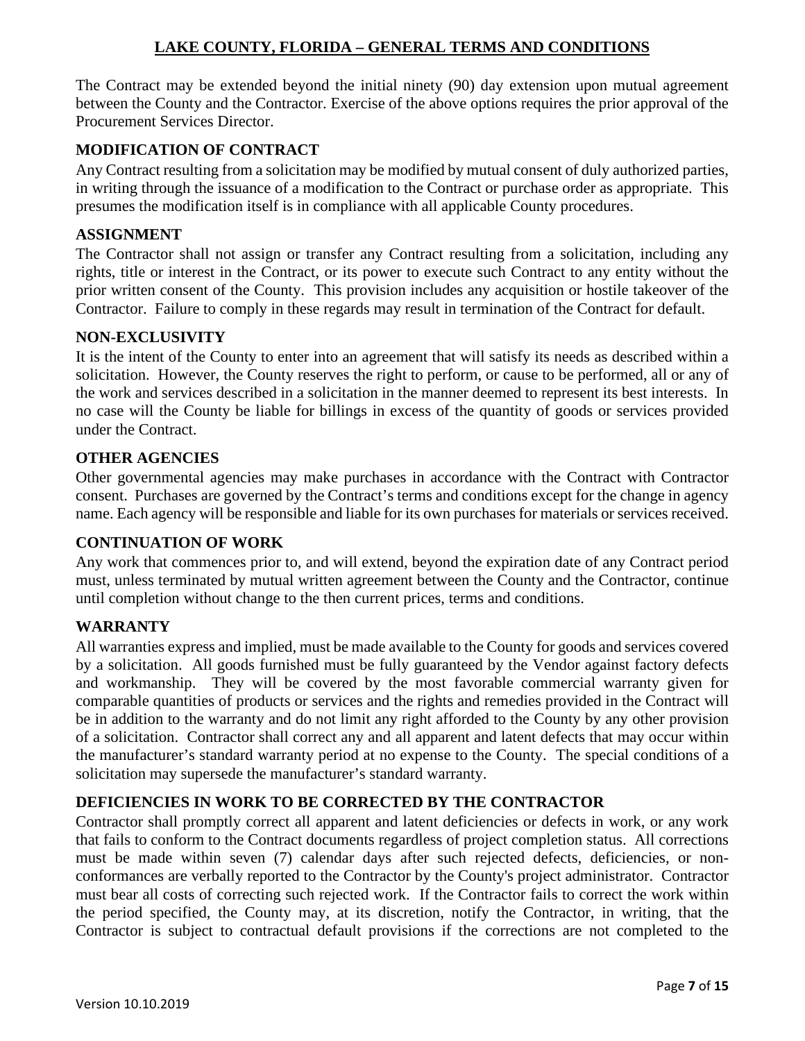The Contract may be extended beyond the initial ninety (90) day extension upon mutual agreement between the County and the Contractor. Exercise of the above options requires the prior approval of the Procurement Services Director.

## <span id="page-6-0"></span>**MODIFICATION OF CONTRACT**

Any Contract resulting from a solicitation may be modified by mutual consent of duly authorized parties, in writing through the issuance of a modification to the Contract or purchase order as appropriate. This presumes the modification itself is in compliance with all applicable County procedures.

#### <span id="page-6-1"></span>**ASSIGNMENT**

The Contractor shall not assign or transfer any Contract resulting from a solicitation, including any rights, title or interest in the Contract, or its power to execute such Contract to any entity without the prior written consent of the County. This provision includes any acquisition or hostile takeover of the Contractor. Failure to comply in these regards may result in termination of the Contract for default.

#### <span id="page-6-2"></span>**NON-EXCLUSIVITY**

It is the intent of the County to enter into an agreement that will satisfy its needs as described within a solicitation. However, the County reserves the right to perform, or cause to be performed, all or any of the work and services described in a solicitation in the manner deemed to represent its best interests. In no case will the County be liable for billings in excess of the quantity of goods or services provided under the Contract.

#### <span id="page-6-3"></span>**OTHER AGENCIES**

Other governmental agencies may make purchases in accordance with the Contract with Contractor consent. Purchases are governed by the Contract's terms and conditions except for the change in agency name. Each agency will be responsible and liable for its own purchases for materials or services received.

#### <span id="page-6-4"></span>**CONTINUATION OF WORK**

Any work that commences prior to, and will extend, beyond the expiration date of any Contract period must, unless terminated by mutual written agreement between the County and the Contractor, continue until completion without change to the then current prices, terms and conditions.

#### <span id="page-6-5"></span>**WARRANTY**

All warranties express and implied, must be made available to the County for goods and services covered by a solicitation. All goods furnished must be fully guaranteed by the Vendor against factory defects and workmanship. They will be covered by the most favorable commercial warranty given for comparable quantities of products or services and the rights and remedies provided in the Contract will be in addition to the warranty and do not limit any right afforded to the County by any other provision of a solicitation. Contractor shall correct any and all apparent and latent defects that may occur within the manufacturer's standard warranty period at no expense to the County. The special conditions of a solicitation may supersede the manufacturer's standard warranty.

#### <span id="page-6-6"></span>**DEFICIENCIES IN WORK TO BE CORRECTED BY THE CONTRACTOR**

Contractor shall promptly correct all apparent and latent deficiencies or defects in work, or any work that fails to conform to the Contract documents regardless of project completion status. All corrections must be made within seven (7) calendar days after such rejected defects, deficiencies, or nonconformances are verbally reported to the Contractor by the County's project administrator. Contractor must bear all costs of correcting such rejected work. If the Contractor fails to correct the work within the period specified, the County may, at its discretion, notify the Contractor, in writing, that the Contractor is subject to contractual default provisions if the corrections are not completed to the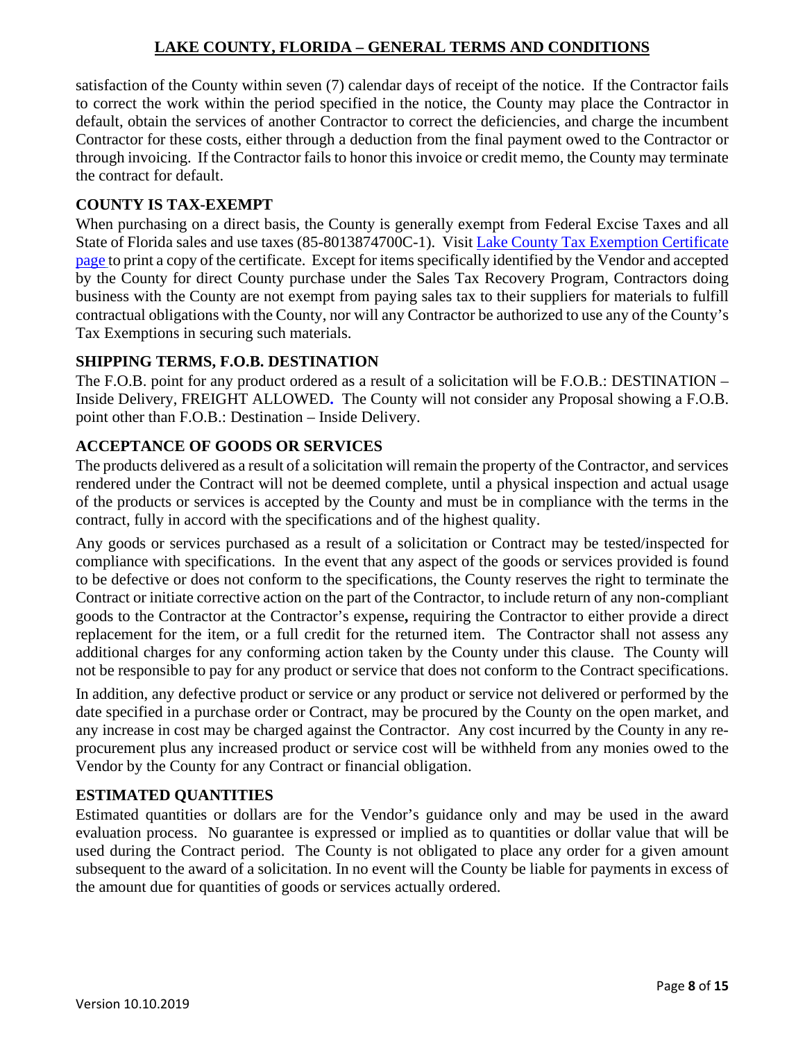satisfaction of the County within seven (7) calendar days of receipt of the notice. If the Contractor fails to correct the work within the period specified in the notice, the County may place the Contractor in default, obtain the services of another Contractor to correct the deficiencies, and charge the incumbent Contractor for these costs, either through a deduction from the final payment owed to the Contractor or through invoicing. If the Contractor fails to honor this invoice or credit memo, the County may terminate the contract for default.

#### <span id="page-7-0"></span>**COUNTY IS TAX-EXEMPT**

When purchasing on a direct basis, the County is generally exempt from Federal Excise Taxes and all State of Florida sales and use taxes (85-8013874700C-1). Visit [Lake County Tax Exemption Certificate](http://bccnet.lakecountyfl.gov/documents/finance/forms/Tax_Exemption_Form.pdf)  [page](http://bccnet.lakecountyfl.gov/documents/finance/forms/Tax_Exemption_Form.pdf) to print a copy of the certificate. Except for items specifically identified by the Vendor and accepted by the County for direct County purchase under the Sales Tax Recovery Program, Contractors doing business with the County are not exempt from paying sales tax to their suppliers for materials to fulfill contractual obligations with the County, nor will any Contractor be authorized to use any of the County's Tax Exemptions in securing such materials.

## <span id="page-7-1"></span>**SHIPPING TERMS, F.O.B. DESTINATION**

The F.O.B. point for any product ordered as a result of a solicitation will be F.O.B.: DESTINATION – Inside Delivery, FREIGHT ALLOWED**.** The County will not consider any Proposal showing a F.O.B. point other than F.O.B.: Destination – Inside Delivery.

## <span id="page-7-2"></span>**ACCEPTANCE OF GOODS OR SERVICES**

The products delivered as a result of a solicitation will remain the property of the Contractor, and services rendered under the Contract will not be deemed complete, until a physical inspection and actual usage of the products or services is accepted by the County and must be in compliance with the terms in the contract, fully in accord with the specifications and of the highest quality.

Any goods or services purchased as a result of a solicitation or Contract may be tested/inspected for compliance with specifications. In the event that any aspect of the goods or services provided is found to be defective or does not conform to the specifications, the County reserves the right to terminate the Contract or initiate corrective action on the part of the Contractor, to include return of any non-compliant goods to the Contractor at the Contractor's expense**,** requiring the Contractor to either provide a direct replacement for the item, or a full credit for the returned item. The Contractor shall not assess any additional charges for any conforming action taken by the County under this clause. The County will not be responsible to pay for any product or service that does not conform to the Contract specifications.

In addition, any defective product or service or any product or service not delivered or performed by the date specified in a purchase order or Contract, may be procured by the County on the open market, and any increase in cost may be charged against the Contractor. Any cost incurred by the County in any reprocurement plus any increased product or service cost will be withheld from any monies owed to the Vendor by the County for any Contract or financial obligation.

## <span id="page-7-3"></span>**ESTIMATED QUANTITIES**

Estimated quantities or dollars are for the Vendor's guidance only and may be used in the award evaluation process. No guarantee is expressed or implied as to quantities or dollar value that will be used during the Contract period. The County is not obligated to place any order for a given amount subsequent to the award of a solicitation. In no event will the County be liable for payments in excess of the amount due for quantities of goods or services actually ordered.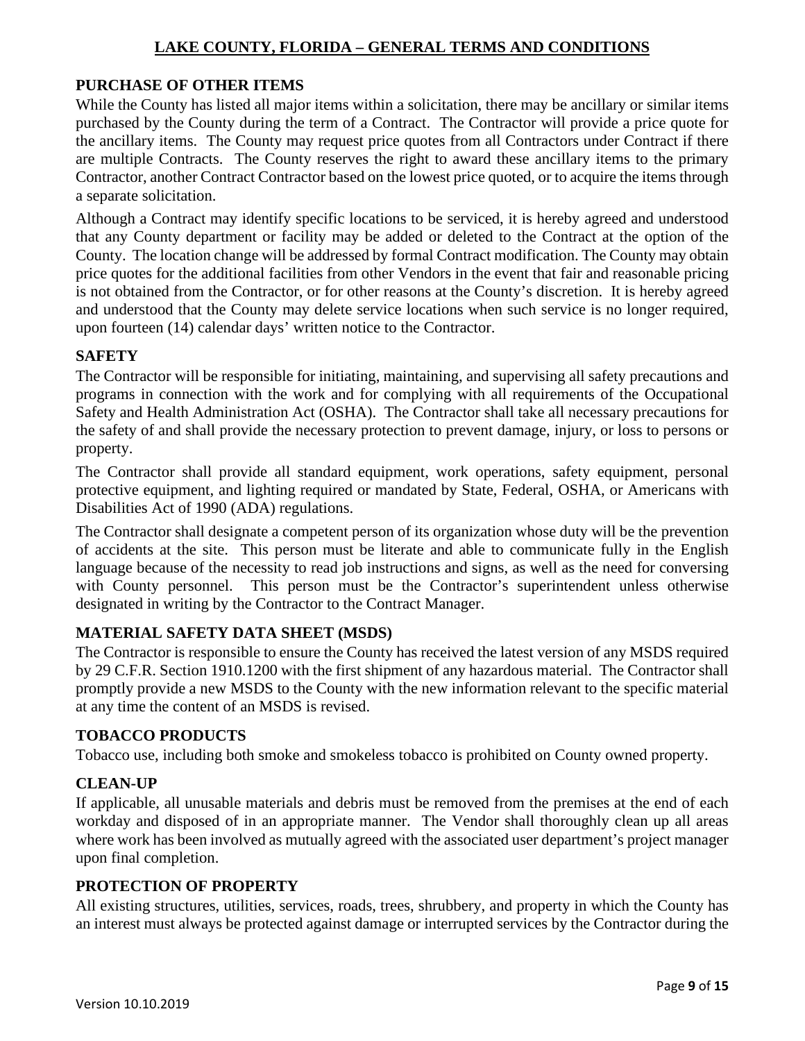## <span id="page-8-0"></span>**PURCHASE OF OTHER ITEMS**

While the County has listed all major items within a solicitation, there may be ancillary or similar items purchased by the County during the term of a Contract. The Contractor will provide a price quote for the ancillary items. The County may request price quotes from all Contractors under Contract if there are multiple Contracts. The County reserves the right to award these ancillary items to the primary Contractor, another Contract Contractor based on the lowest price quoted, or to acquire the items through a separate solicitation.

Although a Contract may identify specific locations to be serviced, it is hereby agreed and understood that any County department or facility may be added or deleted to the Contract at the option of the County. The location change will be addressed by formal Contract modification. The County may obtain price quotes for the additional facilities from other Vendors in the event that fair and reasonable pricing is not obtained from the Contractor, or for other reasons at the County's discretion. It is hereby agreed and understood that the County may delete service locations when such service is no longer required, upon fourteen (14) calendar days' written notice to the Contractor.

#### <span id="page-8-1"></span>**SAFETY**

The Contractor will be responsible for initiating, maintaining, and supervising all safety precautions and programs in connection with the work and for complying with all requirements of the Occupational Safety and Health Administration Act (OSHA). The Contractor shall take all necessary precautions for the safety of and shall provide the necessary protection to prevent damage, injury, or loss to persons or property.

The Contractor shall provide all standard equipment, work operations, safety equipment, personal protective equipment, and lighting required or mandated by State, Federal, OSHA, or Americans with Disabilities Act of 1990 (ADA) regulations.

The Contractor shall designate a competent person of its organization whose duty will be the prevention of accidents at the site. This person must be literate and able to communicate fully in the English language because of the necessity to read job instructions and signs, as well as the need for conversing with County personnel. This person must be the Contractor's superintendent unless otherwise designated in writing by the Contractor to the Contract Manager.

## <span id="page-8-2"></span>**MATERIAL SAFETY DATA SHEET (MSDS)**

The Contractor is responsible to ensure the County has received the latest version of any MSDS required by 29 C.F.R. Section 1910.1200 with the first shipment of any hazardous material. The Contractor shall promptly provide a new MSDS to the County with the new information relevant to the specific material at any time the content of an MSDS is revised.

## <span id="page-8-3"></span>**TOBACCO PRODUCTS**

Tobacco use, including both smoke and smokeless tobacco is prohibited on County owned property.

## <span id="page-8-4"></span>**CLEAN-UP**

If applicable, all unusable materials and debris must be removed from the premises at the end of each workday and disposed of in an appropriate manner. The Vendor shall thoroughly clean up all areas where work has been involved as mutually agreed with the associated user department's project manager upon final completion.

#### <span id="page-8-5"></span>**PROTECTION OF PROPERTY**

All existing structures, utilities, services, roads, trees, shrubbery, and property in which the County has an interest must always be protected against damage or interrupted services by the Contractor during the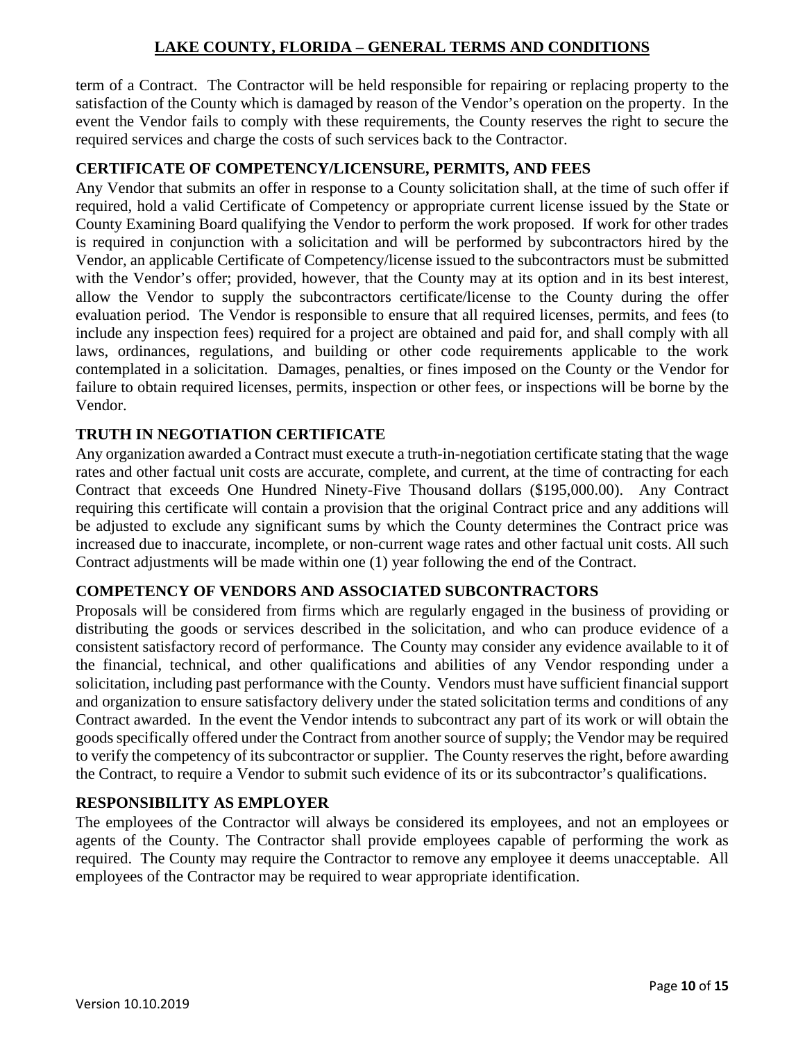term of a Contract. The Contractor will be held responsible for repairing or replacing property to the satisfaction of the County which is damaged by reason of the Vendor's operation on the property. In the event the Vendor fails to comply with these requirements, the County reserves the right to secure the required services and charge the costs of such services back to the Contractor.

## <span id="page-9-0"></span>**CERTIFICATE OF COMPETENCY/LICENSURE, PERMITS, AND FEES**

Any Vendor that submits an offer in response to a County solicitation shall, at the time of such offer if required, hold a valid Certificate of Competency or appropriate current license issued by the State or County Examining Board qualifying the Vendor to perform the work proposed. If work for other trades is required in conjunction with a solicitation and will be performed by subcontractors hired by the Vendor, an applicable Certificate of Competency/license issued to the subcontractors must be submitted with the Vendor's offer; provided, however, that the County may at its option and in its best interest, allow the Vendor to supply the subcontractors certificate/license to the County during the offer evaluation period. The Vendor is responsible to ensure that all required licenses, permits, and fees (to include any inspection fees) required for a project are obtained and paid for, and shall comply with all laws, ordinances, regulations, and building or other code requirements applicable to the work contemplated in a solicitation. Damages, penalties, or fines imposed on the County or the Vendor for failure to obtain required licenses, permits, inspection or other fees, or inspections will be borne by the Vendor.

## <span id="page-9-1"></span>**TRUTH IN NEGOTIATION CERTIFICATE**

Any organization awarded a Contract must execute a truth-in-negotiation certificate stating that the wage rates and other factual unit costs are accurate, complete, and current, at the time of contracting for each Contract that exceeds One Hundred Ninety-Five Thousand dollars (\$195,000.00). Any Contract requiring this certificate will contain a provision that the original Contract price and any additions will be adjusted to exclude any significant sums by which the County determines the Contract price was increased due to inaccurate, incomplete, or non-current wage rates and other factual unit costs. All such Contract adjustments will be made within one (1) year following the end of the Contract.

## <span id="page-9-2"></span>**COMPETENCY OF VENDORS AND ASSOCIATED SUBCONTRACTORS**

Proposals will be considered from firms which are regularly engaged in the business of providing or distributing the goods or services described in the solicitation, and who can produce evidence of a consistent satisfactory record of performance. The County may consider any evidence available to it of the financial, technical, and other qualifications and abilities of any Vendor responding under a solicitation, including past performance with the County. Vendors must have sufficient financial support and organization to ensure satisfactory delivery under the stated solicitation terms and conditions of any Contract awarded. In the event the Vendor intends to subcontract any part of its work or will obtain the goods specifically offered under the Contract from another source of supply; the Vendor may be required to verify the competency of its subcontractor or supplier. The County reserves the right, before awarding the Contract, to require a Vendor to submit such evidence of its or its subcontractor's qualifications.

## <span id="page-9-3"></span>**RESPONSIBILITY AS EMPLOYER**

The employees of the Contractor will always be considered its employees, and not an employees or agents of the County. The Contractor shall provide employees capable of performing the work as required. The County may require the Contractor to remove any employee it deems unacceptable. All employees of the Contractor may be required to wear appropriate identification.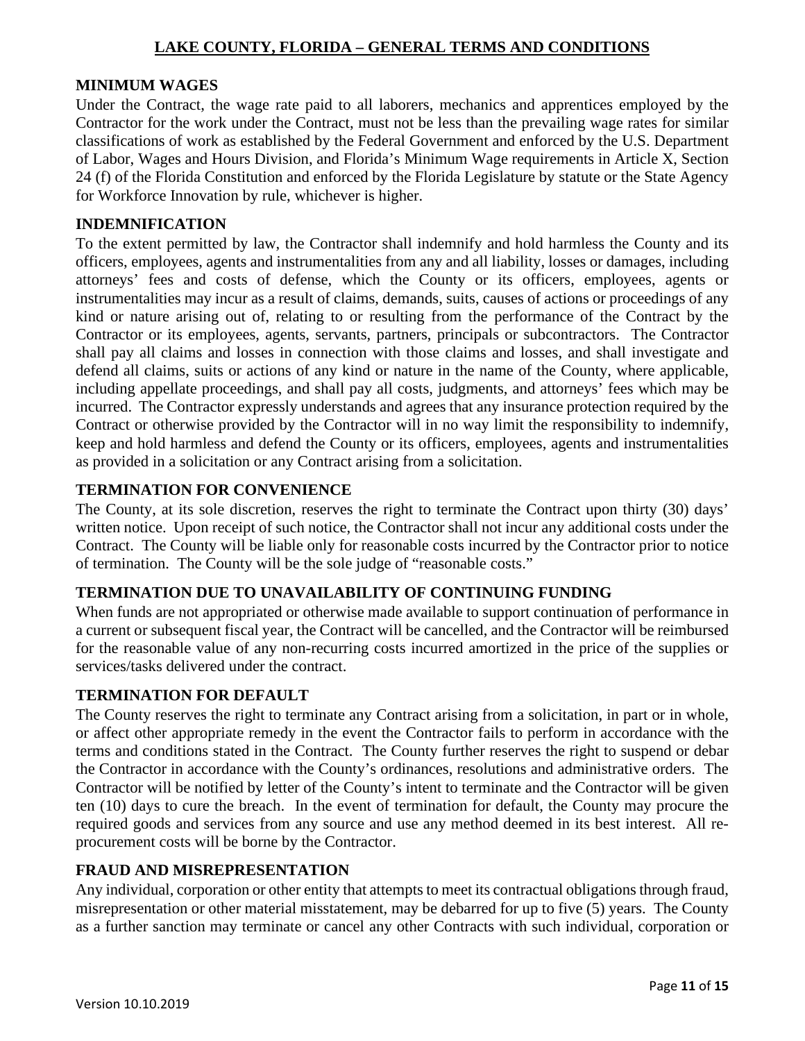#### <span id="page-10-0"></span>**MINIMUM WAGES**

Under the Contract, the wage rate paid to all laborers, mechanics and apprentices employed by the Contractor for the work under the Contract, must not be less than the prevailing wage rates for similar classifications of work as established by the Federal Government and enforced by the U.S. Department of Labor, Wages and Hours Division, and Florida's Minimum Wage requirements in Article X, Section 24 (f) of the Florida Constitution and enforced by the Florida Legislature by statute or the State Agency for Workforce Innovation by rule, whichever is higher.

#### <span id="page-10-1"></span>**INDEMNIFICATION**

To the extent permitted by law, the Contractor shall indemnify and hold harmless the County and its officers, employees, agents and instrumentalities from any and all liability, losses or damages, including attorneys' fees and costs of defense, which the County or its officers, employees, agents or instrumentalities may incur as a result of claims, demands, suits, causes of actions or proceedings of any kind or nature arising out of, relating to or resulting from the performance of the Contract by the Contractor or its employees, agents, servants, partners, principals or subcontractors. The Contractor shall pay all claims and losses in connection with those claims and losses, and shall investigate and defend all claims, suits or actions of any kind or nature in the name of the County, where applicable, including appellate proceedings, and shall pay all costs, judgments, and attorneys' fees which may be incurred. The Contractor expressly understands and agrees that any insurance protection required by the Contract or otherwise provided by the Contractor will in no way limit the responsibility to indemnify, keep and hold harmless and defend the County or its officers, employees, agents and instrumentalities as provided in a solicitation or any Contract arising from a solicitation.

#### <span id="page-10-2"></span>**TERMINATION FOR CONVENIENCE**

The County, at its sole discretion, reserves the right to terminate the Contract upon thirty (30) days' written notice. Upon receipt of such notice, the Contractor shall not incur any additional costs under the Contract. The County will be liable only for reasonable costs incurred by the Contractor prior to notice of termination. The County will be the sole judge of "reasonable costs."

## <span id="page-10-3"></span>**TERMINATION DUE TO UNAVAILABILITY OF CONTINUING FUNDING**

When funds are not appropriated or otherwise made available to support continuation of performance in a current or subsequent fiscal year, the Contract will be cancelled, and the Contractor will be reimbursed for the reasonable value of any non-recurring costs incurred amortized in the price of the supplies or services/tasks delivered under the contract.

#### <span id="page-10-4"></span>**TERMINATION FOR DEFAULT**

The County reserves the right to terminate any Contract arising from a solicitation, in part or in whole, or affect other appropriate remedy in the event the Contractor fails to perform in accordance with the terms and conditions stated in the Contract. The County further reserves the right to suspend or debar the Contractor in accordance with the County's ordinances, resolutions and administrative orders. The Contractor will be notified by letter of the County's intent to terminate and the Contractor will be given ten (10) days to cure the breach. In the event of termination for default, the County may procure the required goods and services from any source and use any method deemed in its best interest. All reprocurement costs will be borne by the Contractor.

#### <span id="page-10-5"></span>**FRAUD AND MISREPRESENTATION**

Any individual, corporation or other entity that attempts to meet its contractual obligations through fraud, misrepresentation or other material misstatement, may be debarred for up to five (5) years. The County as a further sanction may terminate or cancel any other Contracts with such individual, corporation or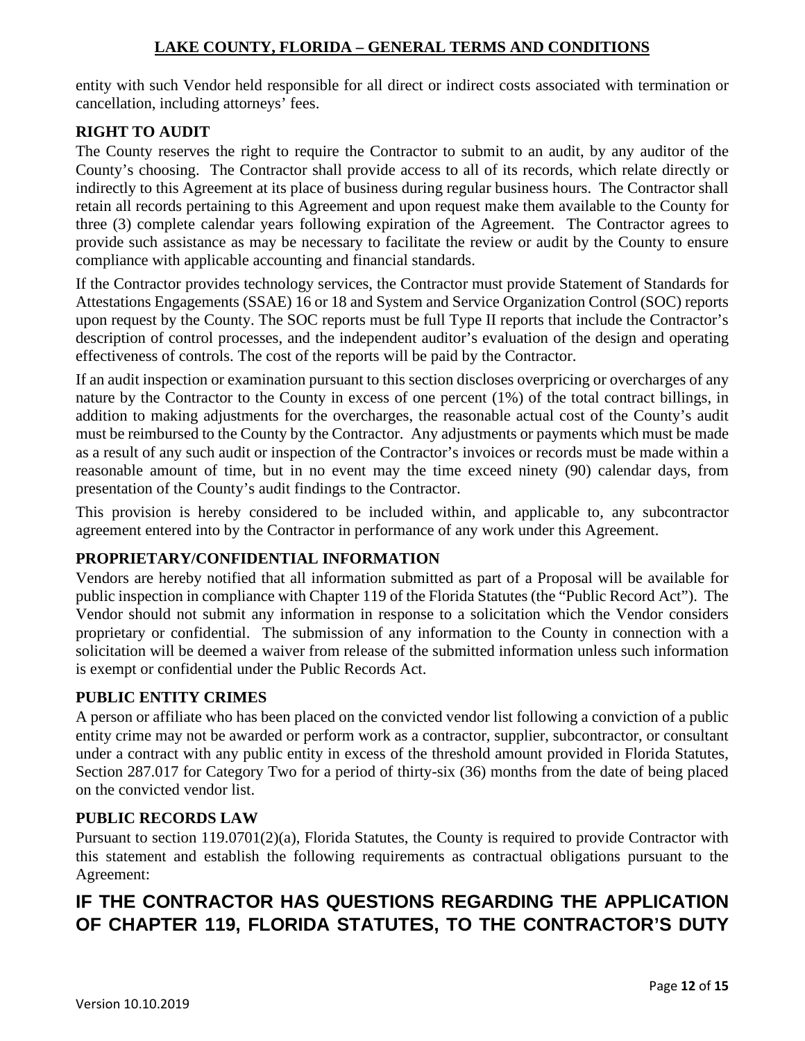entity with such Vendor held responsible for all direct or indirect costs associated with termination or cancellation, including attorneys' fees.

## <span id="page-11-0"></span>**RIGHT TO AUDIT**

The County reserves the right to require the Contractor to submit to an audit, by any auditor of the County's choosing. The Contractor shall provide access to all of its records, which relate directly or indirectly to this Agreement at its place of business during regular business hours. The Contractor shall retain all records pertaining to this Agreement and upon request make them available to the County for three (3) complete calendar years following expiration of the Agreement. The Contractor agrees to provide such assistance as may be necessary to facilitate the review or audit by the County to ensure compliance with applicable accounting and financial standards.

If the Contractor provides technology services, the Contractor must provide Statement of Standards for Attestations Engagements (SSAE) 16 or 18 and System and Service Organization Control (SOC) reports upon request by the County. The SOC reports must be full Type II reports that include the Contractor's description of control processes, and the independent auditor's evaluation of the design and operating effectiveness of controls. The cost of the reports will be paid by the Contractor.

If an audit inspection or examination pursuant to this section discloses overpricing or overcharges of any nature by the Contractor to the County in excess of one percent (1%) of the total contract billings, in addition to making adjustments for the overcharges, the reasonable actual cost of the County's audit must be reimbursed to the County by the Contractor. Any adjustments or payments which must be made as a result of any such audit or inspection of the Contractor's invoices or records must be made within a reasonable amount of time, but in no event may the time exceed ninety (90) calendar days, from presentation of the County's audit findings to the Contractor.

This provision is hereby considered to be included within, and applicable to, any subcontractor agreement entered into by the Contractor in performance of any work under this Agreement.

## <span id="page-11-1"></span>**PROPRIETARY/CONFIDENTIAL INFORMATION**

Vendors are hereby notified that all information submitted as part of a Proposal will be available for public inspection in compliance with Chapter 119 of the Florida Statutes (the "Public Record Act"). The Vendor should not submit any information in response to a solicitation which the Vendor considers proprietary or confidential. The submission of any information to the County in connection with a solicitation will be deemed a waiver from release of the submitted information unless such information is exempt or confidential under the Public Records Act.

# <span id="page-11-2"></span>**PUBLIC ENTITY CRIMES**

A person or affiliate who has been placed on the convicted vendor list following a conviction of a public entity crime may not be awarded or perform work as a contractor, supplier, subcontractor, or consultant under a contract with any public entity in excess of the threshold amount provided in Florida Statutes, Section 287.017 for Category Two for a period of thirty-six (36) months from the date of being placed on the convicted vendor list.

## <span id="page-11-3"></span>**PUBLIC RECORDS LAW**

Pursuant to section 119.0701(2)(a), Florida Statutes, the County is required to provide Contractor with this statement and establish the following requirements as contractual obligations pursuant to the Agreement:

# **IF THE CONTRACTOR HAS QUESTIONS REGARDING THE APPLICATION OF CHAPTER 119, FLORIDA STATUTES, TO THE CONTRACTOR'S DUTY**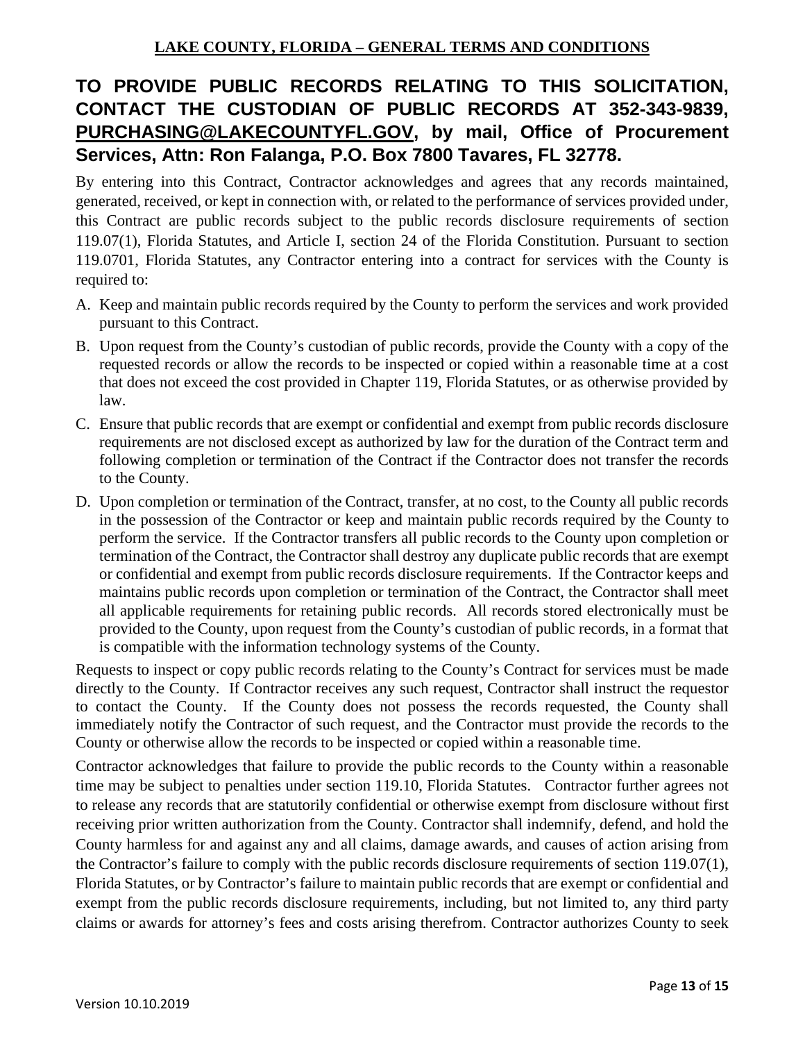# **TO PROVIDE PUBLIC RECORDS RELATING TO THIS SOLICITATION, CONTACT THE CUSTODIAN OF PUBLIC RECORDS AT 352-343-9839, [PURCHASING@LAKECOUNTYFL.GOV,](mailto:PURCHASING@LAKECOUNTYFL.GOV) by mail, Office of Procurement Services, Attn: Ron Falanga, P.O. Box 7800 Tavares, FL 32778.**

By entering into this Contract, Contractor acknowledges and agrees that any records maintained, generated, received, or kept in connection with, or related to the performance of services provided under, this Contract are public records subject to the public records disclosure requirements of section 119.07(1), Florida Statutes, and Article I, section 24 of the Florida Constitution. Pursuant to section 119.0701, Florida Statutes, any Contractor entering into a contract for services with the County is required to:

- A. Keep and maintain public records required by the County to perform the services and work provided pursuant to this Contract.
- B. Upon request from the County's custodian of public records, provide the County with a copy of the requested records or allow the records to be inspected or copied within a reasonable time at a cost that does not exceed the cost provided in Chapter 119, Florida Statutes, or as otherwise provided by law.
- C. Ensure that public records that are exempt or confidential and exempt from public records disclosure requirements are not disclosed except as authorized by law for the duration of the Contract term and following completion or termination of the Contract if the Contractor does not transfer the records to the County.
- D. Upon completion or termination of the Contract, transfer, at no cost, to the County all public records in the possession of the Contractor or keep and maintain public records required by the County to perform the service. If the Contractor transfers all public records to the County upon completion or termination of the Contract, the Contractor shall destroy any duplicate public records that are exempt or confidential and exempt from public records disclosure requirements. If the Contractor keeps and maintains public records upon completion or termination of the Contract, the Contractor shall meet all applicable requirements for retaining public records. All records stored electronically must be provided to the County, upon request from the County's custodian of public records, in a format that is compatible with the information technology systems of the County.

Requests to inspect or copy public records relating to the County's Contract for services must be made directly to the County. If Contractor receives any such request, Contractor shall instruct the requestor to contact the County. If the County does not possess the records requested, the County shall immediately notify the Contractor of such request, and the Contractor must provide the records to the County or otherwise allow the records to be inspected or copied within a reasonable time.

Contractor acknowledges that failure to provide the public records to the County within a reasonable time may be subject to penalties under section 119.10, Florida Statutes. Contractor further agrees not to release any records that are statutorily confidential or otherwise exempt from disclosure without first receiving prior written authorization from the County. Contractor shall indemnify, defend, and hold the County harmless for and against any and all claims, damage awards, and causes of action arising from the Contractor's failure to comply with the public records disclosure requirements of section 119.07(1), Florida Statutes, or by Contractor's failure to maintain public records that are exempt or confidential and exempt from the public records disclosure requirements, including, but not limited to, any third party claims or awards for attorney's fees and costs arising therefrom. Contractor authorizes County to seek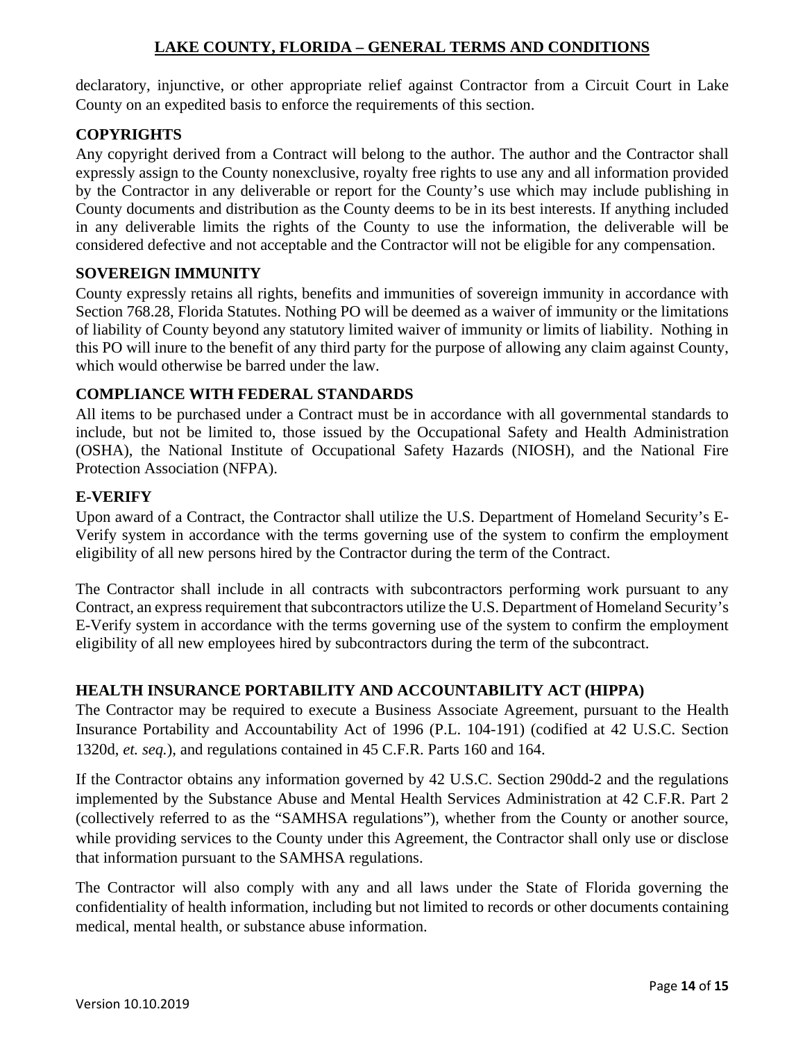declaratory, injunctive, or other appropriate relief against Contractor from a Circuit Court in Lake County on an expedited basis to enforce the requirements of this section.

#### <span id="page-13-0"></span>**COPYRIGHTS**

Any copyright derived from a Contract will belong to the author. The author and the Contractor shall expressly assign to the County nonexclusive, royalty free rights to use any and all information provided by the Contractor in any deliverable or report for the County's use which may include publishing in County documents and distribution as the County deems to be in its best interests. If anything included in any deliverable limits the rights of the County to use the information, the deliverable will be considered defective and not acceptable and the Contractor will not be eligible for any compensation.

#### <span id="page-13-1"></span>**SOVEREIGN IMMUNITY**

County expressly retains all rights, benefits and immunities of sovereign immunity in accordance with Section 768.28, Florida Statutes. Nothing PO will be deemed as a waiver of immunity or the limitations of liability of County beyond any statutory limited waiver of immunity or limits of liability. Nothing in this PO will inure to the benefit of any third party for the purpose of allowing any claim against County, which would otherwise be barred under the law.

## <span id="page-13-2"></span>**COMPLIANCE WITH FEDERAL STANDARDS**

All items to be purchased under a Contract must be in accordance with all governmental standards to include, but not be limited to, those issued by the Occupational Safety and Health Administration (OSHA), the National Institute of Occupational Safety Hazards (NIOSH), and the National Fire Protection Association (NFPA).

#### <span id="page-13-3"></span>**E-VERIFY**

Upon award of a Contract, the Contractor shall utilize the U.S. Department of Homeland Security's E-Verify system in accordance with the terms governing use of the system to confirm the employment eligibility of all new persons hired by the Contractor during the term of the Contract.

The Contractor shall include in all contracts with subcontractors performing work pursuant to any Contract, an express requirement that subcontractors utilize the U.S. Department of Homeland Security's E-Verify system in accordance with the terms governing use of the system to confirm the employment eligibility of all new employees hired by subcontractors during the term of the subcontract.

## <span id="page-13-4"></span>**HEALTH INSURANCE PORTABILITY AND ACCOUNTABILITY ACT (HIPPA)**

The Contractor may be required to execute a Business Associate Agreement, pursuant to the Health Insurance Portability and Accountability Act of 1996 (P.L. 104-191) (codified at 42 U.S.C. Section 1320d, *et. seq.*), and regulations contained in 45 C.F.R. Parts 160 and 164.

If the Contractor obtains any information governed by 42 U.S.C. Section 290dd-2 and the regulations implemented by the Substance Abuse and Mental Health Services Administration at 42 C.F.R. Part 2 (collectively referred to as the "SAMHSA regulations"), whether from the County or another source, while providing services to the County under this Agreement, the Contractor shall only use or disclose that information pursuant to the SAMHSA regulations.

The Contractor will also comply with any and all laws under the State of Florida governing the confidentiality of health information, including but not limited to records or other documents containing medical, mental health, or substance abuse information.